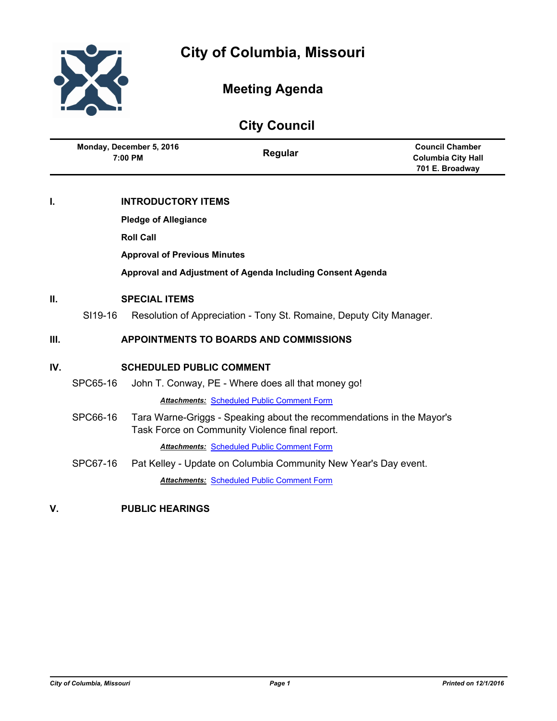

# **Meeting Agenda**

| <b>City Council</b> |                                                            |                             |                                                                                                                         |                                                                        |
|---------------------|------------------------------------------------------------|-----------------------------|-------------------------------------------------------------------------------------------------------------------------|------------------------------------------------------------------------|
|                     | Monday, December 5, 2016<br>7:00 PM                        |                             | Regular                                                                                                                 | <b>Council Chamber</b><br><b>Columbia City Hall</b><br>701 E. Broadway |
| ١.                  |                                                            | <b>INTRODUCTORY ITEMS</b>   |                                                                                                                         |                                                                        |
|                     |                                                            | <b>Pledge of Allegiance</b> |                                                                                                                         |                                                                        |
|                     | <b>Roll Call</b>                                           |                             |                                                                                                                         |                                                                        |
|                     | <b>Approval of Previous Minutes</b>                        |                             |                                                                                                                         |                                                                        |
|                     | Approval and Adjustment of Agenda Including Consent Agenda |                             |                                                                                                                         |                                                                        |
| II.                 | <b>SPECIAL ITEMS</b>                                       |                             |                                                                                                                         |                                                                        |
|                     | SI19-16                                                    |                             | Resolution of Appreciation - Tony St. Romaine, Deputy City Manager.                                                     |                                                                        |
| Ш.                  | <b>APPOINTMENTS TO BOARDS AND COMMISSIONS</b>              |                             |                                                                                                                         |                                                                        |
| IV.                 | <b>SCHEDULED PUBLIC COMMENT</b>                            |                             |                                                                                                                         |                                                                        |
|                     | SPC65-16                                                   |                             | John T. Conway, PE - Where does all that money go!                                                                      |                                                                        |
|                     |                                                            |                             | <b>Attachments: Scheduled Public Comment Form</b>                                                                       |                                                                        |
|                     | SPC66-16                                                   |                             | Tara Warne-Griggs - Speaking about the recommendations in the Mayor's<br>Task Force on Community Violence final report. |                                                                        |
|                     |                                                            |                             | <b>Attachments: Scheduled Public Comment Form</b>                                                                       |                                                                        |
|                     | SPC67-16                                                   |                             | Pat Kelley - Update on Columbia Community New Year's Day event.                                                         |                                                                        |
|                     |                                                            |                             | <b>Attachments: Scheduled Public Comment Form</b>                                                                       |                                                                        |

**V. PUBLIC HEARINGS**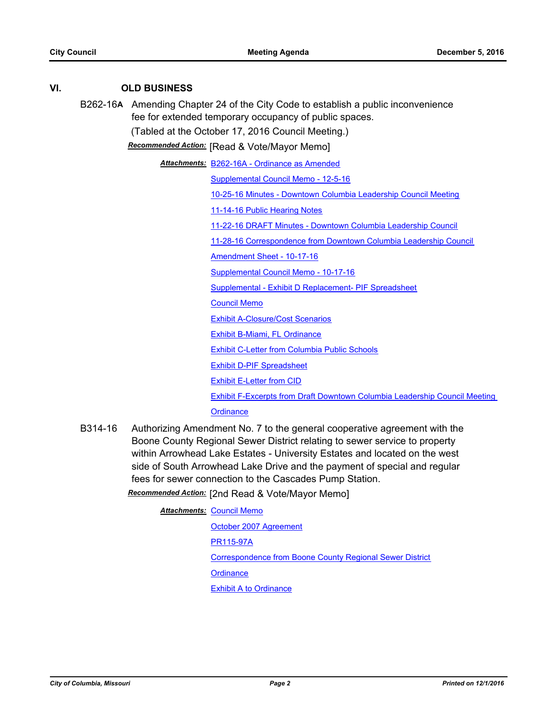# **VI. OLD BUSINESS**

B262-16**A** Amending Chapter 24 of the City Code to establish a public inconvenience fee for extended temporary occupancy of public spaces.

(Tabled at the October 17, 2016 Council Meeting.)

*Recommended Action:* [Read & Vote/Mayor Memo]

[B262-16A - Ordinance as Amended](http://gocolumbiamo.legistar.com/gateway.aspx?M=F&ID=4feadbde-0105-4c92-b6df-54f42d307db5.doc) *Attachments:*

[Supplemental Council Memo - 12-5-16](http://gocolumbiamo.legistar.com/gateway.aspx?M=F&ID=4a5f0f21-f06c-4242-8af8-19b7d65234e5.docx)

[10-25-16 Minutes - Downtown Columbia Leadership Council Meeting](http://gocolumbiamo.legistar.com/gateway.aspx?M=F&ID=4ea6d8e5-cec5-415a-acfc-d1d6c98d1d35.pdf)

[11-14-16 Public Hearing Notes](http://gocolumbiamo.legistar.com/gateway.aspx?M=F&ID=9dcf3361-3ea6-46c3-9a84-deebc92feac1.pdf)

[11-22-16 DRAFT Minutes - Downtown Columbia Leadership Council](http://gocolumbiamo.legistar.com/gateway.aspx?M=F&ID=f899c123-2e45-45ad-9a6a-ed3e640c4848.pdf)

[11-28-16 Correspondence from Downtown Columbia Leadership Council](http://gocolumbiamo.legistar.com/gateway.aspx?M=F&ID=53685ea3-a22b-4272-9caa-e735344542ae.docx)

[Amendment Sheet - 10-17-16](http://gocolumbiamo.legistar.com/gateway.aspx?M=F&ID=e8e8f234-f686-4869-aaa2-3b46eeb90329.pdf)

[Supplemental Council Memo - 10-17-16](http://gocolumbiamo.legistar.com/gateway.aspx?M=F&ID=7b9fb34d-76db-4811-af04-6feac3bc8e98.docx)

[Supplemental - Exhibit D Replacement- PIF Spreadsheet](http://gocolumbiamo.legistar.com/gateway.aspx?M=F&ID=40def6b1-6ebb-4bda-adb4-6c855cc7ca30.pdf)

[Council Memo](http://gocolumbiamo.legistar.com/gateway.aspx?M=F&ID=915f8f1d-3b64-4402-847a-a066db6d67d8.docx)

[Exhibit A-Closure/Cost Scenarios](http://gocolumbiamo.legistar.com/gateway.aspx?M=F&ID=c6e1465c-3ded-4ff4-933c-4e66586bc76e.pdf)

[Exhibit B-Miami, FL Ordinance](http://gocolumbiamo.legistar.com/gateway.aspx?M=F&ID=14ba9d0a-974a-44bc-aa57-50d21ab8948a.pdf)

[Exhibit C-Letter from Columbia Public Schools](http://gocolumbiamo.legistar.com/gateway.aspx?M=F&ID=0873beed-bc2b-4bdc-b66b-a0172aa1f74d.docx)

[Exhibit D-PIF Spreadsheet](http://gocolumbiamo.legistar.com/gateway.aspx?M=F&ID=8aab1c76-64cf-4170-a403-7ed5d6070511.pdf)

[Exhibit E-Letter from CID](http://gocolumbiamo.legistar.com/gateway.aspx?M=F&ID=d9df16b1-45e4-4595-88d9-6d044d1df178.pdf)

Exhibit F-Excerpts from Draft Downtown Columbia Leadership Council Meeting

**[Ordinance](http://gocolumbiamo.legistar.com/gateway.aspx?M=F&ID=cb709d3f-7d7e-4113-95bd-72a322ed638f.doc)** 

B314-16 Authorizing Amendment No. 7 to the general cooperative agreement with the Boone County Regional Sewer District relating to sewer service to property within Arrowhead Lake Estates - University Estates and located on the west side of South Arrowhead Lake Drive and the payment of special and regular fees for sewer connection to the Cascades Pump Station.

*Recommended Action:* [2nd Read & Vote/Mayor Memo]

**Attachments: [Council Memo](http://gocolumbiamo.legistar.com/gateway.aspx?M=F&ID=1666deb0-938a-4600-9084-809430faf09f.docx)** [October 2007 Agreement](http://gocolumbiamo.legistar.com/gateway.aspx?M=F&ID=8a6e2106-32c8-4ce4-bfec-130ac6263711.pdf) [PR115-97A](http://gocolumbiamo.legistar.com/gateway.aspx?M=F&ID=9ed17604-7f18-44ce-bab2-21d608d4e8fb.pdf) [Correspondence from Boone County Regional Sewer District](http://gocolumbiamo.legistar.com/gateway.aspx?M=F&ID=fcffbf1a-481f-45ee-80a1-01c0a05cd804.pdf) **[Ordinance](http://gocolumbiamo.legistar.com/gateway.aspx?M=F&ID=fbc34e1b-86a8-48d3-a9e4-a6ae911498a2.doc)** [Exhibit A to Ordinance](http://gocolumbiamo.legistar.com/gateway.aspx?M=F&ID=0d054c6a-b7d0-41b4-9c74-2b85250a4fdc.pdf)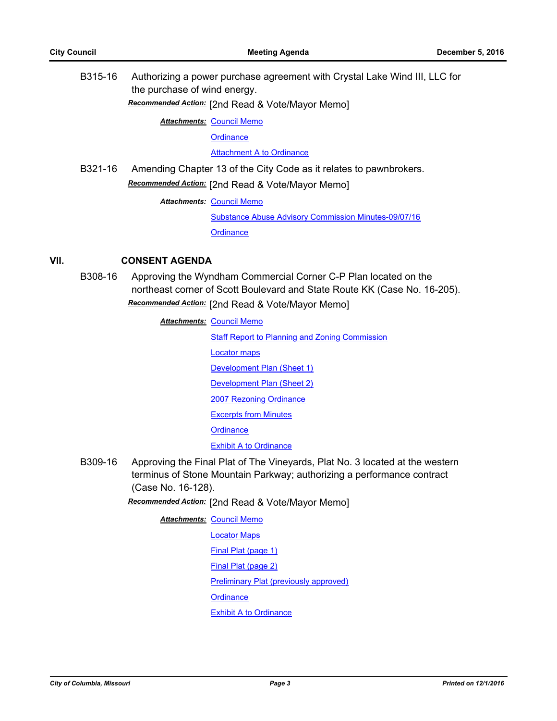B315-16 Authorizing a power purchase agreement with Crystal Lake Wind III, LLC for the purchase of wind energy.

*Recommended Action:* [2nd Read & Vote/Mayor Memo]

**Attachments: [Council Memo](http://gocolumbiamo.legistar.com/gateway.aspx?M=F&ID=c9602d2c-8d73-42f0-8add-eb94ebc5a5ff.docx)** 

**[Ordinance](http://gocolumbiamo.legistar.com/gateway.aspx?M=F&ID=849b7d3c-75a3-4b87-a2cc-684f00beb8ee.doc)** 

[Attachment A to Ordinance](http://gocolumbiamo.legistar.com/gateway.aspx?M=F&ID=d48486c9-8ab9-4ea8-a08e-60df476bec82.pdf)

B321-16 Amending Chapter 13 of the City Code as it relates to pawnbrokers. *Recommended Action:* [2nd Read & Vote/Mayor Memo]

**Attachments: [Council Memo](http://gocolumbiamo.legistar.com/gateway.aspx?M=F&ID=6d1875e4-34d9-4e19-bd06-7362135ffec0.docx)** 

[Substance Abuse Advisory Commission Minutes-09/07/16](http://gocolumbiamo.legistar.com/gateway.aspx?M=F&ID=2a773780-e7d1-417e-b89f-0171595db451.pdf) **[Ordinance](http://gocolumbiamo.legistar.com/gateway.aspx?M=F&ID=354e35ed-d6f2-41ac-95be-3217d2fb016d.doc)** 

## **VII. CONSENT AGENDA**

B308-16 Approving the Wyndham Commercial Corner C-P Plan located on the northeast corner of Scott Boulevard and State Route KK (Case No. 16-205). *Recommended Action:* [2nd Read & Vote/Mayor Memo]

**Attachments: [Council Memo](http://gocolumbiamo.legistar.com/gateway.aspx?M=F&ID=95f503e5-f5c7-459e-b3fc-c0ccd2d70c1c.docx)** 

[Staff Report to Planning and Zoning Commission](http://gocolumbiamo.legistar.com/gateway.aspx?M=F&ID=9f72fbfa-dbb0-458b-b5b5-37d8ec1f5e2e.pdf)

[Locator maps](http://gocolumbiamo.legistar.com/gateway.aspx?M=F&ID=62c7a0bc-7cf8-44ee-9351-910445ef045b.pdf)

[Development Plan \(Sheet 1\)](http://gocolumbiamo.legistar.com/gateway.aspx?M=F&ID=0017fdc6-be27-4987-a229-6e898fdd7b87.pdf)

[Development Plan \(Sheet 2\)](http://gocolumbiamo.legistar.com/gateway.aspx?M=F&ID=9c97caa1-6018-4a8e-9e2e-b6db0d9dfbf6.pdf)

[2007 Rezoning Ordinance](http://gocolumbiamo.legistar.com/gateway.aspx?M=F&ID=3b5ca41f-4166-474e-a96c-f23751f5b39b.pdf)

[Excerpts from Minutes](http://gocolumbiamo.legistar.com/gateway.aspx?M=F&ID=f1ede470-103a-4538-b52f-ac711bae1985.docx)

**[Ordinance](http://gocolumbiamo.legistar.com/gateway.aspx?M=F&ID=48970e68-713e-48a3-be98-f128e617a66f.doc)** 

#### **[Exhibit A to Ordinance](http://gocolumbiamo.legistar.com/gateway.aspx?M=F&ID=fb653408-0604-4179-a925-a66ae994aab8.pdf)**

B309-16 Approving the Final Plat of The Vineyards, Plat No. 3 located at the western terminus of Stone Mountain Parkway; authorizing a performance contract (Case No. 16-128).

## *Recommended Action:* [2nd Read & Vote/Mayor Memo]

**Attachments: [Council Memo](http://gocolumbiamo.legistar.com/gateway.aspx?M=F&ID=322543fb-74b2-4702-b769-a943075a727f.docx)** 

[Locator Maps](http://gocolumbiamo.legistar.com/gateway.aspx?M=F&ID=037fcaf9-dee7-418f-a4ad-5c06bf008940.pdf) [Final Plat \(page 1\)](http://gocolumbiamo.legistar.com/gateway.aspx?M=F&ID=6d11a2a0-79ee-44b1-9b41-7eb2f00b3aa6.pdf)

[Final Plat \(page 2\)](http://gocolumbiamo.legistar.com/gateway.aspx?M=F&ID=790c96a2-3e9c-4cb8-b524-29d9587df43a.pdf)

[Preliminary Plat \(previously approved\)](http://gocolumbiamo.legistar.com/gateway.aspx?M=F&ID=da76f5f0-eff6-4c5f-8775-dee2d98f3bff.pdf)

**[Ordinance](http://gocolumbiamo.legistar.com/gateway.aspx?M=F&ID=ef44ce21-8cf0-494b-92f5-5de49975aaeb.doc)** 

[Exhibit A to Ordinance](http://gocolumbiamo.legistar.com/gateway.aspx?M=F&ID=6b233a45-438b-4f6b-96d0-6d854a758b6c.pdf)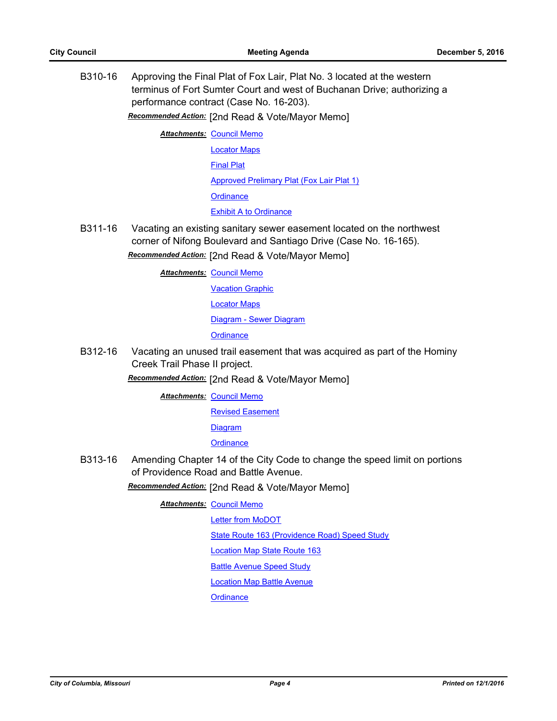B310-16 Approving the Final Plat of Fox Lair, Plat No. 3 located at the western terminus of Fort Sumter Court and west of Buchanan Drive; authorizing a performance contract (Case No. 16-203).

*Recommended Action:* [2nd Read & Vote/Mayor Memo]

**Attachments: [Council Memo](http://gocolumbiamo.legistar.com/gateway.aspx?M=F&ID=b2506edb-61a9-4e61-ac9a-a76f9602fafd.docx)** [Locator Maps](http://gocolumbiamo.legistar.com/gateway.aspx?M=F&ID=209ac530-306f-4d87-be33-241eccee83e7.pdf) [Final Plat](http://gocolumbiamo.legistar.com/gateway.aspx?M=F&ID=492e0d35-0dce-4ef0-91d1-81ff946d10a5.pdf) [Approved Prelimary Plat \(Fox Lair Plat 1\)](http://gocolumbiamo.legistar.com/gateway.aspx?M=F&ID=5c5c3c2e-ccf0-4f47-8785-de686b1f3548.pdf) **[Ordinance](http://gocolumbiamo.legistar.com/gateway.aspx?M=F&ID=a288e472-6e23-4ce0-914e-e87b44427455.doc)** [Exhibit A to Ordinance](http://gocolumbiamo.legistar.com/gateway.aspx?M=F&ID=26de08bf-4f2d-4599-bccb-01e1ce87c514.pdf)

B311-16 Vacating an existing sanitary sewer easement located on the northwest corner of Nifong Boulevard and Santiago Drive (Case No. 16-165).

*Recommended Action:* [2nd Read & Vote/Mayor Memo]

**Attachments: [Council Memo](http://gocolumbiamo.legistar.com/gateway.aspx?M=F&ID=54a05e63-4fda-4911-a750-996a03d4bc7e.docx)** 

[Vacation Graphic](http://gocolumbiamo.legistar.com/gateway.aspx?M=F&ID=4cca7aef-efcd-40e3-9dcb-e7495b71bf37.pdf)

[Locator Maps](http://gocolumbiamo.legistar.com/gateway.aspx?M=F&ID=b1275f99-e459-4608-8368-c712bf26c245.pdf)

[Diagram - Sewer Diagram](http://gocolumbiamo.legistar.com/gateway.aspx?M=F&ID=f5513f4c-0672-4a1c-bf54-0c4783970ac7.pdf)

**[Ordinance](http://gocolumbiamo.legistar.com/gateway.aspx?M=F&ID=a1a86360-5f7a-4ed8-96a6-ca733996ba22.doc)** 

B312-16 Vacating an unused trail easement that was acquired as part of the Hominy Creek Trail Phase II project.

*Recommended Action:* [2nd Read & Vote/Mayor Memo]

**Attachments: [Council Memo](http://gocolumbiamo.legistar.com/gateway.aspx?M=F&ID=ecd7884e-07d5-48de-ad4a-f25e758fe3cd.docx)** 

[Revised Easement](http://gocolumbiamo.legistar.com/gateway.aspx?M=F&ID=bf23ffc7-01b6-48be-b46e-d89889a0343b.pdf)

[Diagram](http://gocolumbiamo.legistar.com/gateway.aspx?M=F&ID=1c13542b-9f62-4f03-a359-501c8e7798bc.pdf)

**[Ordinance](http://gocolumbiamo.legistar.com/gateway.aspx?M=F&ID=0c4cc1ae-8555-4942-a9af-6c02acf2d4f9.doc)** 

B313-16 Amending Chapter 14 of the City Code to change the speed limit on portions of Providence Road and Battle Avenue.

*Recommended Action:* [2nd Read & Vote/Mayor Memo]

**Attachments: [Council Memo](http://gocolumbiamo.legistar.com/gateway.aspx?M=F&ID=0ddf1b16-0077-4802-b3d1-a25ac3bc7638.docx)** 

[Letter from MoDOT](http://gocolumbiamo.legistar.com/gateway.aspx?M=F&ID=dda153fa-4d64-47b7-82cb-bc88142aff71.pdf)

[State Route 163 \(Providence Road\) Speed Study](http://gocolumbiamo.legistar.com/gateway.aspx?M=F&ID=2bad15c2-8437-4fa7-9385-cbef33c7c646.pdf)

[Location Map State Route 163](http://gocolumbiamo.legistar.com/gateway.aspx?M=F&ID=302b58db-eb43-4b92-aca7-fc2857d454c1.pdf)

**[Battle Avenue Speed Study](http://gocolumbiamo.legistar.com/gateway.aspx?M=F&ID=9f216e39-4ab1-4173-967f-1629cdda942c.pdf)** 

[Location Map Battle Avenue](http://gocolumbiamo.legistar.com/gateway.aspx?M=F&ID=b9188664-dc29-4b45-9e41-c6de41922daa.pdf)

**[Ordinance](http://gocolumbiamo.legistar.com/gateway.aspx?M=F&ID=ea4de342-e0a2-44a4-adb8-0b71fdcc9823.doc)**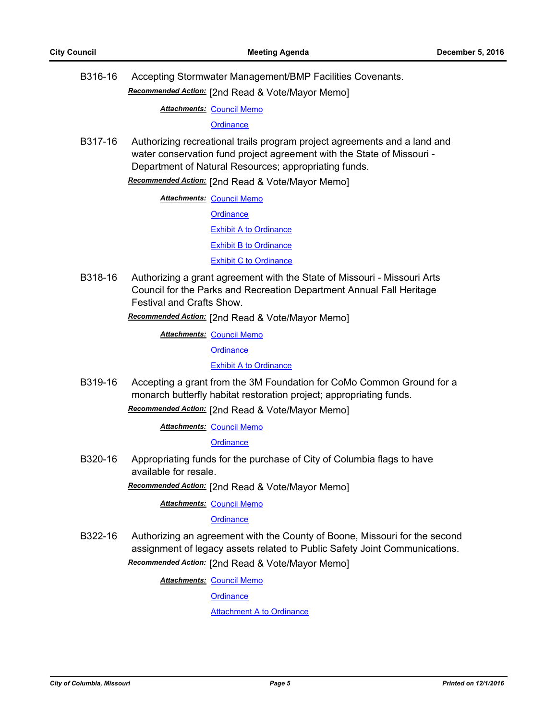B316-16 Accepting Stormwater Management/BMP Facilities Covenants.

*Recommended Action:* [2nd Read & Vote/Mayor Memo]

**Attachments: [Council Memo](http://gocolumbiamo.legistar.com/gateway.aspx?M=F&ID=60eb11f9-0f0f-4ed9-b679-f81bc943e494.docx)** 

**[Ordinance](http://gocolumbiamo.legistar.com/gateway.aspx?M=F&ID=22bd7793-6570-4324-a3b5-4fef8ab975c5.doc)** 

B317-16 Authorizing recreational trails program project agreements and a land and water conservation fund project agreement with the State of Missouri - Department of Natural Resources; appropriating funds.

*Recommended Action:* [2nd Read & Vote/Mayor Memo]

**Attachments: [Council Memo](http://gocolumbiamo.legistar.com/gateway.aspx?M=F&ID=f22d1326-602a-47aa-9a3c-ea8e988ba75f.docx)** 

**[Ordinance](http://gocolumbiamo.legistar.com/gateway.aspx?M=F&ID=d0765f4a-326d-4568-a8e5-84004bdc5bde.doc)** 

[Exhibit A to Ordinance](http://gocolumbiamo.legistar.com/gateway.aspx?M=F&ID=0a00e9bd-e5c9-4892-b8c5-f6b1d0a24cb9.pdf)

[Exhibit B to Ordinance](http://gocolumbiamo.legistar.com/gateway.aspx?M=F&ID=1c899d64-c2ca-4976-b719-b20a75c91262.pdf)

**[Exhibit C to Ordinance](http://gocolumbiamo.legistar.com/gateway.aspx?M=F&ID=d6368917-c1a1-4746-87c6-ae4315951a3d.pdf)** 

B318-16 Authorizing a grant agreement with the State of Missouri - Missouri Arts Council for the Parks and Recreation Department Annual Fall Heritage Festival and Crafts Show.

*Recommended Action:* [2nd Read & Vote/Mayor Memo]

**Attachments: [Council Memo](http://gocolumbiamo.legistar.com/gateway.aspx?M=F&ID=95bbd0fb-594f-4749-8354-e46b7dfb3f76.docx)** 

**[Ordinance](http://gocolumbiamo.legistar.com/gateway.aspx?M=F&ID=d4ee22e5-bb44-4cf3-9e41-7d750707318e.doc)** 

**[Exhibit A to Ordinance](http://gocolumbiamo.legistar.com/gateway.aspx?M=F&ID=4ce47219-3bc7-4748-a17c-77f7240f0254.pdf)** 

B319-16 Accepting a grant from the 3M Foundation for CoMo Common Ground for a monarch butterfly habitat restoration project; appropriating funds.

*Recommended Action:* [2nd Read & Vote/Mayor Memo]

**Attachments: [Council Memo](http://gocolumbiamo.legistar.com/gateway.aspx?M=F&ID=9b171205-6027-474f-93b3-698d85c37af3.docx)** 

**[Ordinance](http://gocolumbiamo.legistar.com/gateway.aspx?M=F&ID=1acc68cc-2af7-4fbd-9f6b-2f2ad0e59325.doc)** 

B320-16 Appropriating funds for the purchase of City of Columbia flags to have available for resale.

*Recommended Action:* [2nd Read & Vote/Mayor Memo]

**Attachments: [Council Memo](http://gocolumbiamo.legistar.com/gateway.aspx?M=F&ID=4b8d03d6-4340-49da-8b27-4b67a79a8fc2.docx)** 

**[Ordinance](http://gocolumbiamo.legistar.com/gateway.aspx?M=F&ID=e216968d-1955-4c88-9f51-0297d6c5b327.doc)** 

B322-16 Authorizing an agreement with the County of Boone, Missouri for the second assignment of legacy assets related to Public Safety Joint Communications.

*Recommended Action:* [2nd Read & Vote/Mayor Memo]

**Attachments: [Council Memo](http://gocolumbiamo.legistar.com/gateway.aspx?M=F&ID=71209ba6-f97c-4e24-a5d9-8c870734e08b.docx)** 

**[Ordinance](http://gocolumbiamo.legistar.com/gateway.aspx?M=F&ID=1fb3692a-879e-4b2e-b0b3-408247451bfd.doc)** 

**[Attachment A to Ordinance](http://gocolumbiamo.legistar.com/gateway.aspx?M=F&ID=1071e26a-e485-428d-a2eb-a3baa72ec6d2.pdf)**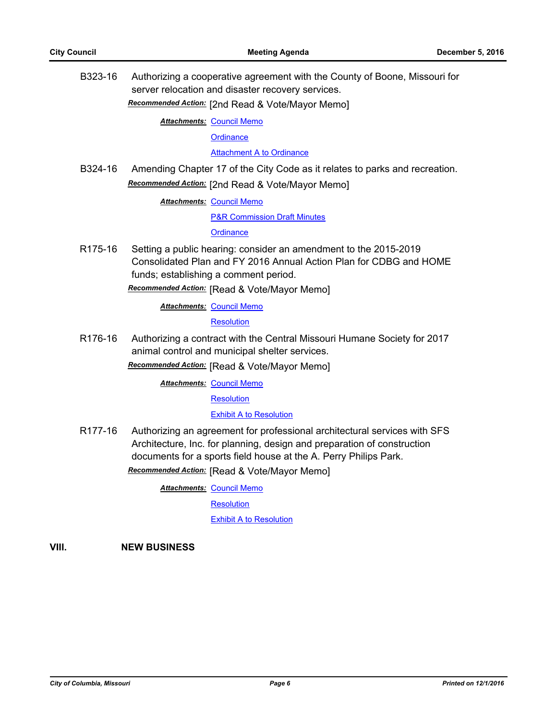B323-16 Authorizing a cooperative agreement with the County of Boone, Missouri for server relocation and disaster recovery services.

*Recommended Action:* [2nd Read & Vote/Mayor Memo]

**Attachments: [Council Memo](http://gocolumbiamo.legistar.com/gateway.aspx?M=F&ID=6dbd7a76-f879-41d9-95f2-c92c449dc0cc.docx)** 

**[Ordinance](http://gocolumbiamo.legistar.com/gateway.aspx?M=F&ID=2bc9ac62-ac2c-4ee0-ab54-80eaa8f7534c.doc)** 

[Attachment A to Ordinance](http://gocolumbiamo.legistar.com/gateway.aspx?M=F&ID=5920046c-69c0-4be1-b82e-4b1072166d0c.pdf)

B324-16 Amending Chapter 17 of the City Code as it relates to parks and recreation. *Recommended Action:* [2nd Read & Vote/Mayor Memo]

**Attachments: [Council Memo](http://gocolumbiamo.legistar.com/gateway.aspx?M=F&ID=d030dd17-40a8-4ded-a347-dec4796c635f.docx)** 

[P&R Commission Draft Minutes](http://gocolumbiamo.legistar.com/gateway.aspx?M=F&ID=676f4aca-3846-46cf-afb8-f9db1f72c0aa.docx)

**[Ordinance](http://gocolumbiamo.legistar.com/gateway.aspx?M=F&ID=dcb74b7b-bc97-42fa-bd04-6291651b5545.doc)** 

R175-16 Setting a public hearing: consider an amendment to the 2015-2019 Consolidated Plan and FY 2016 Annual Action Plan for CDBG and HOME funds; establishing a comment period.

*Recommended Action:* [Read & Vote/Mayor Memo]

**Attachments: [Council Memo](http://gocolumbiamo.legistar.com/gateway.aspx?M=F&ID=cd4e5304-88f9-4f9f-a5de-605091b88492.docx)** 

**[Resolution](http://gocolumbiamo.legistar.com/gateway.aspx?M=F&ID=d37181f3-adb8-4e37-a0a9-09028f2d749b.doc)** 

R176-16 Authorizing a contract with the Central Missouri Humane Society for 2017 animal control and municipal shelter services.

*Recommended Action:* [Read & Vote/Mayor Memo]

**Attachments: [Council Memo](http://gocolumbiamo.legistar.com/gateway.aspx?M=F&ID=3d8e2aeb-9505-405b-ab29-d5bf3ea08ed5.docx)** 

**[Resolution](http://gocolumbiamo.legistar.com/gateway.aspx?M=F&ID=5fd01eef-a60c-4bd2-85b2-387696f0e371.doc)** 

#### [Exhibit A to Resolution](http://gocolumbiamo.legistar.com/gateway.aspx?M=F&ID=68ea01b7-8b00-4e05-8f19-39eb74fb1b64.docx)

R177-16 Authorizing an agreement for professional architectural services with SFS Architecture, Inc. for planning, design and preparation of construction documents for a sports field house at the A. Perry Philips Park. *Recommended Action:* [Read & Vote/Mayor Memo]

**Attachments: [Council Memo](http://gocolumbiamo.legistar.com/gateway.aspx?M=F&ID=51222a3d-fe38-4d1c-9396-02a80334b86c.docx)** 

**[Resolution](http://gocolumbiamo.legistar.com/gateway.aspx?M=F&ID=a039e0a8-4206-43a2-9063-3c3e0558acea.doc)** 

[Exhibit A to Resolution](http://gocolumbiamo.legistar.com/gateway.aspx?M=F&ID=7a853d75-1f69-4e5a-b4dc-5bd4a453f2b6.pdf)

**VIII. NEW BUSINESS**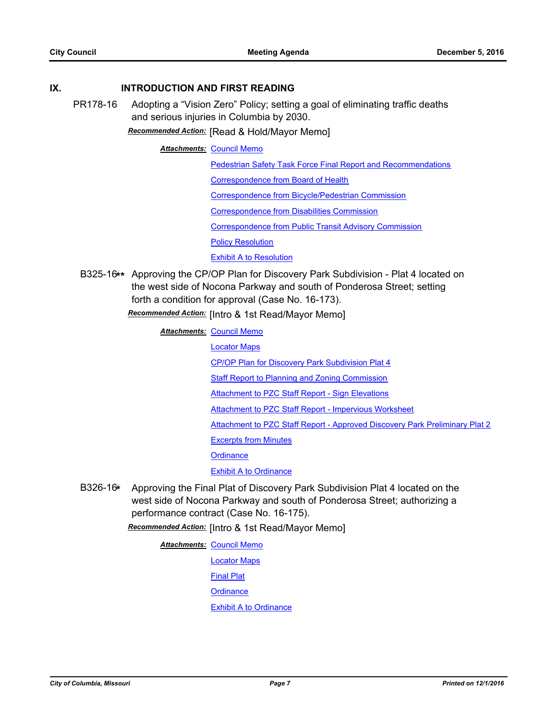#### **IX. INTRODUCTION AND FIRST READING**

PR178-16 Adopting a "Vision Zero" Policy; setting a goal of eliminating traffic deaths and serious injuries in Columbia by 2030.

*Recommended Action:* [Read & Hold/Mayor Memo]

#### **Attachments: [Council Memo](http://gocolumbiamo.legistar.com/gateway.aspx?M=F&ID=f9c1f710-5540-471b-9e26-d2f5a8ca199c.docx)**

[Pedestrian Safety Task Force Final Report and Recommendations](http://gocolumbiamo.legistar.com/gateway.aspx?M=F&ID=7979ba45-a233-41e2-953c-9d979b4147f0.pdf)

[Correspondence from Board of Health](http://gocolumbiamo.legistar.com/gateway.aspx?M=F&ID=0e28192b-22ec-4b14-a71c-10697c5e010a.pdf)

[Correspondence from Bicycle/Pedestrian Commission](http://gocolumbiamo.legistar.com/gateway.aspx?M=F&ID=960784e4-7900-4537-b8d9-32ceda7ebbb6.doc)

[Correspondence from Disabilities Commission](http://gocolumbiamo.legistar.com/gateway.aspx?M=F&ID=f4fdf14e-368f-41da-82aa-b576f8ad5a7b.doc)

[Correspondence from Public Transit Advisory Commission](http://gocolumbiamo.legistar.com/gateway.aspx?M=F&ID=0c1e3bbf-e202-44c1-9f93-2c08e7173c9a.doc)

[Policy Resolution](http://gocolumbiamo.legistar.com/gateway.aspx?M=F&ID=e476db53-2b11-4291-b38a-dd285686668f.doc)

#### [Exhibit A to Resolution](http://gocolumbiamo.legistar.com/gateway.aspx?M=F&ID=e1b03852-c4eb-44b7-bbec-f6c39001893a.docx)

B325-16**\*\*** Approving the CP/OP Plan for Discovery Park Subdivision - Plat 4 located on the west side of Nocona Parkway and south of Ponderosa Street; setting forth a condition for approval (Case No. 16-173).

*Recommended Action:* [Intro & 1st Read/Mayor Memo]

**Attachments: [Council Memo](http://gocolumbiamo.legistar.com/gateway.aspx?M=F&ID=fc72776d-a0b2-4833-8856-dc8c5f0651e5.docx)** 

[Locator Maps](http://gocolumbiamo.legistar.com/gateway.aspx?M=F&ID=2703458f-8d59-495d-8912-d5151c501bc6.pdf)

[CP/OP Plan for Discovery Park Subdivision Plat 4](http://gocolumbiamo.legistar.com/gateway.aspx?M=F&ID=251d9bc8-8829-49a1-b731-19c904e38e57.pdf)

[Staff Report to Planning and Zoning Commission](http://gocolumbiamo.legistar.com/gateway.aspx?M=F&ID=ac19fd5e-93c4-47bd-b3aa-ff018a572d88.pdf)

[Attachment to PZC Staff Report - Sign Elevations](http://gocolumbiamo.legistar.com/gateway.aspx?M=F&ID=b95180bb-a082-4ee1-99b2-7ce6fcd88ba4.pdf)

[Attachment to PZC Staff Report - Impervious Worksheet](http://gocolumbiamo.legistar.com/gateway.aspx?M=F&ID=114af466-3180-4178-b980-45952add2d48.pdf)

[Attachment to PZC Staff Report - Approved Discovery Park Preliminary Plat 2](http://gocolumbiamo.legistar.com/gateway.aspx?M=F&ID=93380af6-e939-4622-8f0a-19a5961d3418.pdf)

[Excerpts from Minutes](http://gocolumbiamo.legistar.com/gateway.aspx?M=F&ID=9d0c34de-c6d1-477b-9c3a-0e0330625c79.docx)

**[Ordinance](http://gocolumbiamo.legistar.com/gateway.aspx?M=F&ID=69d51182-7bc8-448e-b893-a08920562f9e.doc)** 

[Exhibit A to Ordinance](http://gocolumbiamo.legistar.com/gateway.aspx?M=F&ID=3c05216c-acb9-4765-87de-c40b1868f4ef.pdf)

B326-16**\*** Approving the Final Plat of Discovery Park Subdivision Plat 4 located on the west side of Nocona Parkway and south of Ponderosa Street; authorizing a performance contract (Case No. 16-175).

*Recommended Action:* [Intro & 1st Read/Mayor Memo]

**Attachments: [Council Memo](http://gocolumbiamo.legistar.com/gateway.aspx?M=F&ID=0a7269b8-ef05-440d-a381-11fe1e36229f.docx)** 

[Locator Maps](http://gocolumbiamo.legistar.com/gateway.aspx?M=F&ID=4d277249-c73c-4fa9-85ad-36d33d81927c.pdf)

[Final Plat](http://gocolumbiamo.legistar.com/gateway.aspx?M=F&ID=432b00a0-27d7-4dae-a49c-c608a323201a.pdf)

**[Ordinance](http://gocolumbiamo.legistar.com/gateway.aspx?M=F&ID=b4e3dc5c-c92c-49a7-81bb-35f1b6c95157.doc)** 

[Exhibit A to Ordinance](http://gocolumbiamo.legistar.com/gateway.aspx?M=F&ID=7d166cec-da52-45f1-ad30-11fe8a83df91.pdf)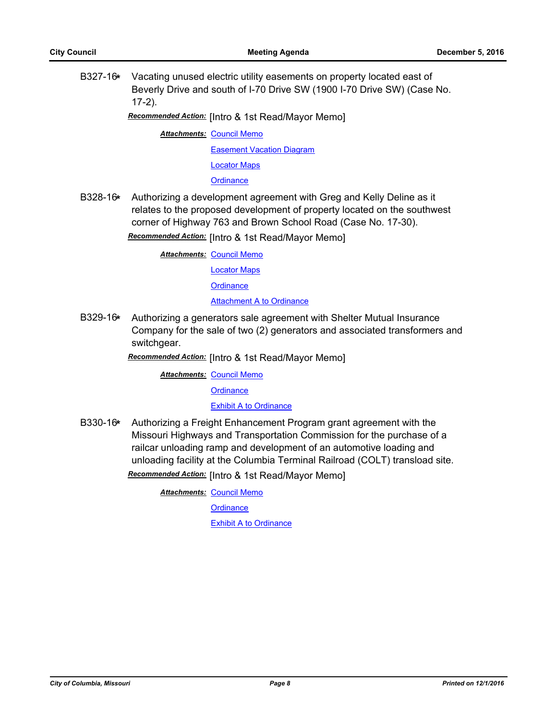B327-16**\*** Vacating unused electric utility easements on property located east of Beverly Drive and south of I-70 Drive SW (1900 I-70 Drive SW) (Case No. 17-2).

*Recommended Action:* [Intro & 1st Read/Mayor Memo]

**Attachments: [Council Memo](http://gocolumbiamo.legistar.com/gateway.aspx?M=F&ID=931a80e3-66ca-4ff3-ab7b-246f6e43ce5a.docx)** [Easement Vacation Diagram](http://gocolumbiamo.legistar.com/gateway.aspx?M=F&ID=18480152-85a7-423b-8102-484dd5a056c3.pdf) [Locator Maps](http://gocolumbiamo.legistar.com/gateway.aspx?M=F&ID=9f9c8596-d992-43bf-9d14-cd6af512a5f5.pdf) **[Ordinance](http://gocolumbiamo.legistar.com/gateway.aspx?M=F&ID=1baeab02-7483-4022-9739-57fa6358e5ec.doc)** 

B328-16**\*** Authorizing a development agreement with Greg and Kelly Deline as it relates to the proposed development of property located on the southwest corner of Highway 763 and Brown School Road (Case No. 17-30).

*Recommended Action:* [Intro & 1st Read/Mayor Memo]

**Attachments: [Council Memo](http://gocolumbiamo.legistar.com/gateway.aspx?M=F&ID=0f18f159-5603-46b7-9945-f9f02c6967aa.docx)** 

[Locator Maps](http://gocolumbiamo.legistar.com/gateway.aspx?M=F&ID=345fe776-3760-4ed7-828c-e40f243178c4.pdf)

**[Ordinance](http://gocolumbiamo.legistar.com/gateway.aspx?M=F&ID=1da4c32a-9e2b-4c7c-8ac6-7cc5cb48a1bf.doc)** 

**[Attachment A to Ordinance](http://gocolumbiamo.legistar.com/gateway.aspx?M=F&ID=08c84be4-5344-4b6b-9723-48906f3ab67f.pdf)** 

B329-16**\*** Authorizing a generators sale agreement with Shelter Mutual Insurance Company for the sale of two (2) generators and associated transformers and switchgear.

*Recommended Action:* [Intro & 1st Read/Mayor Memo]

**Attachments: [Council Memo](http://gocolumbiamo.legistar.com/gateway.aspx?M=F&ID=24342bc9-cdc8-4be2-b041-ffd921e96944.docx)** 

**[Ordinance](http://gocolumbiamo.legistar.com/gateway.aspx?M=F&ID=986993e8-05c0-421f-9ed3-d419f46aad07.doc)** 

[Exhibit A to Ordinance](http://gocolumbiamo.legistar.com/gateway.aspx?M=F&ID=cfe5dd0c-504e-420b-b76b-49238115ec4a.pdf)

B330-16**\*** Authorizing a Freight Enhancement Program grant agreement with the Missouri Highways and Transportation Commission for the purchase of a railcar unloading ramp and development of an automotive loading and unloading facility at the Columbia Terminal Railroad (COLT) transload site. *Recommended Action:* [Intro & 1st Read/Mayor Memo]

**Attachments: [Council Memo](http://gocolumbiamo.legistar.com/gateway.aspx?M=F&ID=d012359a-1357-4b0c-a136-eb6638705327.docx)** 

**[Ordinance](http://gocolumbiamo.legistar.com/gateway.aspx?M=F&ID=0fe9160c-e99c-40f8-882e-f01b3404f6d5.doc)** 

[Exhibit A to Ordinance](http://gocolumbiamo.legistar.com/gateway.aspx?M=F&ID=420f29f0-a943-487d-9414-27d012de0dce.pdf)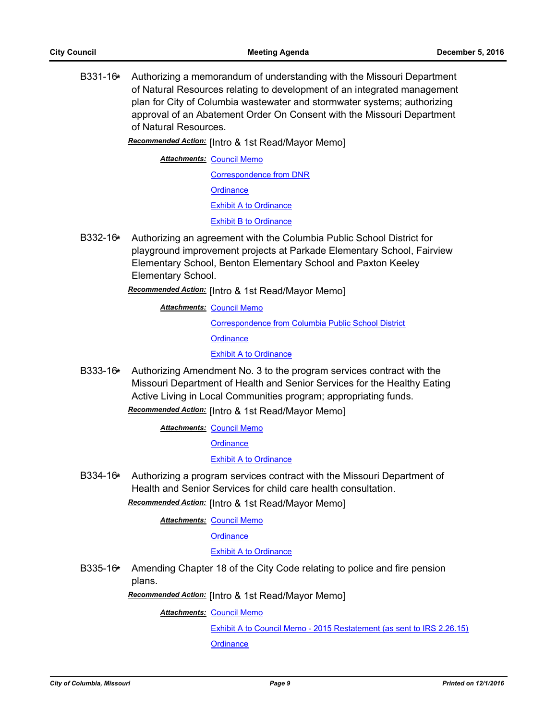B331-16**\*** Authorizing a memorandum of understanding with the Missouri Department of Natural Resources relating to development of an integrated management plan for City of Columbia wastewater and stormwater systems; authorizing approval of an Abatement Order On Consent with the Missouri Department of Natural Resources.

*Recommended Action:* [Intro & 1st Read/Mayor Memo]

**Attachments: [Council Memo](http://gocolumbiamo.legistar.com/gateway.aspx?M=F&ID=bfcaaeba-df38-4f61-b859-a2a93695a69d.docx)** 

[Correspondence from DNR](http://gocolumbiamo.legistar.com/gateway.aspx?M=F&ID=986e7207-0a07-4cf9-a24a-c8922030a76c.pdf)

**[Ordinance](http://gocolumbiamo.legistar.com/gateway.aspx?M=F&ID=78ec81e4-6227-40fa-812b-fb0c5250c564.doc)** 

[Exhibit A to Ordinance](http://gocolumbiamo.legistar.com/gateway.aspx?M=F&ID=d8027e9d-a8aa-411d-8869-4c968d64d14f.pdf)

[Exhibit B to Ordinance](http://gocolumbiamo.legistar.com/gateway.aspx?M=F&ID=d0c12183-d4fa-4251-b331-8ee9e5a21bcb.pdf)

B332-16**\*** Authorizing an agreement with the Columbia Public School District for playground improvement projects at Parkade Elementary School, Fairview Elementary School, Benton Elementary School and Paxton Keeley Elementary School.

*Recommended Action:* [Intro & 1st Read/Mayor Memo]

**Attachments: [Council Memo](http://gocolumbiamo.legistar.com/gateway.aspx?M=F&ID=eae3fa66-7aaf-47e7-881c-f7a4c20a36e2.docx)** 

[Correspondence from Columbia Public School District](http://gocolumbiamo.legistar.com/gateway.aspx?M=F&ID=fda30954-9faf-4d73-9c6d-0338865dbe73.pdf)

**[Ordinance](http://gocolumbiamo.legistar.com/gateway.aspx?M=F&ID=e4d24c72-0336-47b7-a60e-205783d643a7.doc)** 

[Exhibit A to Ordinance](http://gocolumbiamo.legistar.com/gateway.aspx?M=F&ID=6d3daeb6-c65f-49c8-8f6a-1cc658a50c9a.doc)

B333-16**\*** Authorizing Amendment No. 3 to the program services contract with the Missouri Department of Health and Senior Services for the Healthy Eating Active Living in Local Communities program; appropriating funds.

*Recommended Action:* [Intro & 1st Read/Mayor Memo]

**Attachments: [Council Memo](http://gocolumbiamo.legistar.com/gateway.aspx?M=F&ID=3c52e7fe-5024-4f5b-abd0-8f74afa2b0ce.docx)** 

**[Ordinance](http://gocolumbiamo.legistar.com/gateway.aspx?M=F&ID=5defd074-f8fe-4782-9574-89caf1015322.doc)** 

[Exhibit A to Ordinance](http://gocolumbiamo.legistar.com/gateway.aspx?M=F&ID=da581c70-a453-45f1-a02f-ae476503c51f.pdf)

B334-16**\*** Authorizing a program services contract with the Missouri Department of Health and Senior Services for child care health consultation.

*Recommended Action:* [Intro & 1st Read/Mayor Memo]

**Attachments: [Council Memo](http://gocolumbiamo.legistar.com/gateway.aspx?M=F&ID=4f3a2131-7f78-42fe-ae90-e6eac73729c8.docx)** 

**[Ordinance](http://gocolumbiamo.legistar.com/gateway.aspx?M=F&ID=a19f5817-bb96-4424-bfeb-fdaeca19ec97.doc)** 

#### **[Exhibit A to Ordinance](http://gocolumbiamo.legistar.com/gateway.aspx?M=F&ID=d6374e13-7b24-4795-a228-1450eb215f90.pdf)**

B335-16**\*** Amending Chapter 18 of the City Code relating to police and fire pension plans.

*Recommended Action:* [Intro & 1st Read/Mayor Memo]

**Attachments: [Council Memo](http://gocolumbiamo.legistar.com/gateway.aspx?M=F&ID=24687b6b-026f-4197-a80c-55481cbc6015.docx)** 

[Exhibit A to Council Memo - 2015 Restatement \(as sent to IRS 2.26.15\)](http://gocolumbiamo.legistar.com/gateway.aspx?M=F&ID=59459a82-8ef4-402d-af62-f7db54cef4e2.doc) **[Ordinance](http://gocolumbiamo.legistar.com/gateway.aspx?M=F&ID=a6b60f99-0f25-47c9-b79e-81a3beec212f.doc)**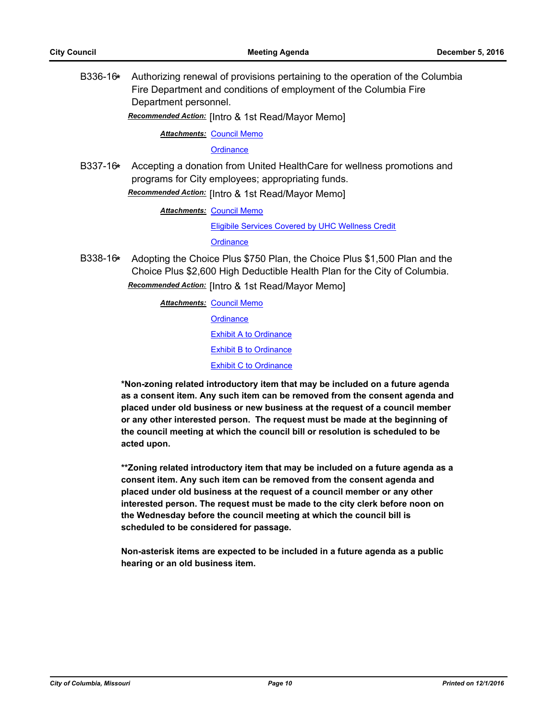B336-16**\*** Authorizing renewal of provisions pertaining to the operation of the Columbia Fire Department and conditions of employment of the Columbia Fire Department personnel.

*Recommended Action:* [Intro & 1st Read/Mayor Memo]

**Attachments: [Council Memo](http://gocolumbiamo.legistar.com/gateway.aspx?M=F&ID=0cfb44e4-9958-49c0-8fca-e47f4dbbd355.docx)** 

**[Ordinance](http://gocolumbiamo.legistar.com/gateway.aspx?M=F&ID=65a85449-9a9d-4b1c-8350-d4a2b5edce99.doc)** 

B337-16**\*** Accepting a donation from United HealthCare for wellness promotions and programs for City employees; appropriating funds. *Recommended Action:* [Intro & 1st Read/Mayor Memo]

**Attachments: [Council Memo](http://gocolumbiamo.legistar.com/gateway.aspx?M=F&ID=698b96e9-e956-4828-be62-12215d51d41b.docx)** 

[Eligibile Services Covered by UHC Wellness Credit](http://gocolumbiamo.legistar.com/gateway.aspx?M=F&ID=cff78255-e3f5-494b-a901-30761d785741.pdf)

**[Ordinance](http://gocolumbiamo.legistar.com/gateway.aspx?M=F&ID=9bb6af9a-c6b7-4507-b7b2-2f0eedab70a0.doc)** 

B338-16**\*** Adopting the Choice Plus \$750 Plan, the Choice Plus \$1,500 Plan and the Choice Plus \$2,600 High Deductible Health Plan for the City of Columbia.

*Recommended Action:* [Intro & 1st Read/Mayor Memo]

**Attachments: [Council Memo](http://gocolumbiamo.legistar.com/gateway.aspx?M=F&ID=40397106-e634-44d2-9aa5-efa33a4de4c9.docx) [Ordinance](http://gocolumbiamo.legistar.com/gateway.aspx?M=F&ID=6decee2c-4fca-44ae-bcd9-edd322788741.doc)** [Exhibit A to Ordinance](http://gocolumbiamo.legistar.com/gateway.aspx?M=F&ID=29e47d0d-b7c7-4136-aade-9941afe15399.pdf) **[Exhibit B to Ordinance](http://gocolumbiamo.legistar.com/gateway.aspx?M=F&ID=f58defda-2e76-4a49-abf8-8e1b14405f60.pdf)** [Exhibit C to Ordinance](http://gocolumbiamo.legistar.com/gateway.aspx?M=F&ID=8cd706af-2761-49b5-a702-17d5953a622a.pdf)

**\*Non-zoning related introductory item that may be included on a future agenda as a consent item. Any such item can be removed from the consent agenda and placed under old business or new business at the request of a council member or any other interested person. The request must be made at the beginning of the council meeting at which the council bill or resolution is scheduled to be acted upon.** 

**\*\*Zoning related introductory item that may be included on a future agenda as a consent item. Any such item can be removed from the consent agenda and placed under old business at the request of a council member or any other interested person. The request must be made to the city clerk before noon on the Wednesday before the council meeting at which the council bill is scheduled to be considered for passage.**

**Non-asterisk items are expected to be included in a future agenda as a public hearing or an old business item.**